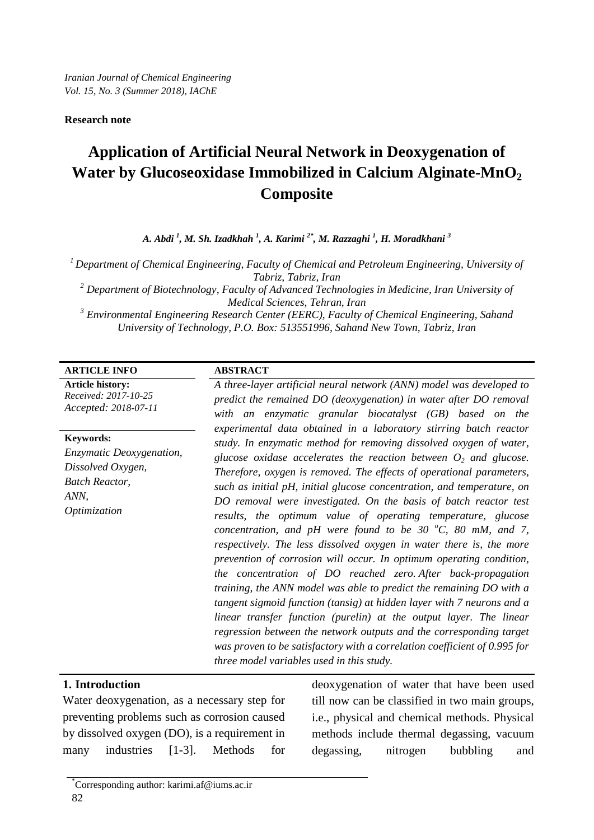## **Research note**

# **Application of Artificial Neural Network in Deoxygenation of Water by Glucoseoxidase Immobilized in Calcium Alginate-MnO<sub>2</sub> Composite**

*A. Abdi <sup>1</sup> , M. Sh. Izadkhah <sup>1</sup> , A. Karimi 2\*, M. Razzaghi 1 , H. Moradkhani <sup>3</sup>*

*1 Department of Chemical Engineering, Faculty of Chemical and Petroleum Engineering, University of Tabriz, Tabriz, Iran*

*<sup>2</sup> Department of Biotechnology, Faculty of Advanced Technologies in Medicine, Iran University of Medical Sciences, Tehran, Iran*

*<sup>3</sup> Environmental Engineering Research Center (EERC), Faculty of Chemical Engineering, Sahand University of Technology, P.O. Box: 513551996, Sahand New Town, Tabriz, Iran*

## **ARTICLE INFO ABSTRACT**

**Article history:** *Received: 2017-10-25 Accepted: 2018-07-11*

## **Keywords:** *Enzymatic Deoxygenation, Dissolved Oxygen, Batch Reactor,*

*ANN, Optimization*

*A three-layer artificial neural network (ANN) model was developed to predict the remained DO (deoxygenation) in water after DO removal with an enzymatic granular biocatalyst (GB) based on the experimental data obtained in a laboratory stirring batch reactor study. In enzymatic method for removing dissolved oxygen of water, glucose oxidase accelerates the reaction between*  $O_2$  *and glucose. Therefore, oxygen is removed. The effects of operational parameters, such as initial pH, initial glucose concentration, and temperature, on DO removal were investigated. On the basis of batch reactor test results, the optimum value of operating temperature, glucose concentration, and pH were found to be 30*  $^{\circ}$ *C, 80 mM, and 7, respectively. The less dissolved oxygen in water there is, the more prevention of corrosion will occur. In optimum operating condition, the concentration of DO reached zero. After back-propagation training, the ANN model was able to predict the remaining DO with a tangent sigmoid function (tansig) at hidden layer with 7 neurons and a linear transfer function (purelin) at the output layer. The linear regression between the network outputs and the corresponding target was proven to be satisfactory with a correlation coefficient of 0.995 for three model variables used in this study.*

## **1. Introduction**

Water deoxygenation, as a necessary step for preventing problems such as corrosion caused by dissolved oxygen (DO), is a requirement in many industries [1-3]. Methods for deoxygenation of water that have been used till now can be classified in two main groups, i.e., physical and chemical methods. Physical methods include thermal degassing, vacuum degassing, nitrogen bubbling and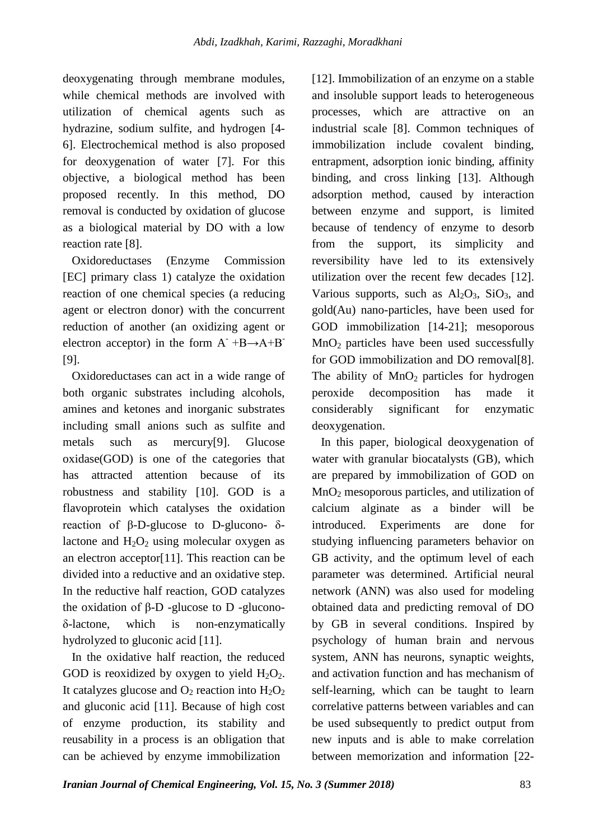deoxygenating through membrane modules, while chemical methods are involved with utilization of chemical agents such as hydrazine, sodium sulfite, and hydrogen [4- 6]. Electrochemical method is also proposed for deoxygenation of water [7]. For this objective, a biological method has been proposed recently. In this method, DO removal is conducted by oxidation of glucose as a biological material by DO with a low reaction rate [8].

 Oxidoreductases (Enzyme Commission [EC] primary class 1) catalyze the oxidation reaction of one chemical species (a reducing agent or electron donor) with the concurrent reduction of another (an oxidizing agent or electron acceptor) in the form  $A^- +B \rightarrow A+B^-$ [9].

 Oxidoreductases can act in a wide range of both organic substrates including alcohols, amines and ketones and inorganic substrates including small anions such as sulfite and metals such as mercury[9]. Glucose oxidase(GOD) is one of the categories that has attracted attention because of its robustness and stability [10]. GOD is a flavoprotein which catalyses the oxidation reaction of β-D-glucose to D-glucono- δlactone and  $H_2O_2$  using molecular oxygen as an electron acceptor[11]. This reaction can be divided into a reductive and an oxidative step. In the reductive half reaction, GOD catalyzes the oxidation of β-D -glucose to D -gluconoδ-lactone, which is non-enzymatically hydrolyzed to gluconic acid [11].

 In the oxidative half reaction, the reduced GOD is reoxidized by oxygen to yield  $H_2O_2$ . It catalyzes glucose and  $O_2$  reaction into  $H_2O_2$ and gluconic acid [11]. Because of high cost of enzyme production, its stability and reusability in a process is an obligation that can be achieved by enzyme immobilization

[12]. Immobilization of an enzyme on a stable and insoluble support leads to heterogeneous processes, which are attractive on an industrial scale [8]. Common techniques of immobilization include covalent binding, entrapment, adsorption ionic binding, affinity binding, and cross linking [13]. Although adsorption method, caused by interaction between enzyme and support, is limited because of tendency of enzyme to desorb from the support, its simplicity and reversibility have led to its extensively utilization over the recent few decades [12]. Various supports, such as  $Al_2O_3$ ,  $SiO_3$ , and gold(Au) nano-particles, have been used for GOD immobilization [14-21]; mesoporous  $MnO<sub>2</sub>$  particles have been used successfully for GOD immobilization and DO removal[8]. The ability of  $MnO<sub>2</sub>$  particles for hydrogen peroxide decomposition has made it considerably significant for enzymatic deoxygenation.

 In this paper, biological deoxygenation of water with granular biocatalysts (GB), which are prepared by immobilization of GOD on  $MnO<sub>2</sub>$  mesoporous particles, and utilization of calcium alginate as a binder will be introduced. Experiments are done for studying influencing parameters behavior on GB activity, and the optimum level of each parameter was determined. Artificial neural network (ANN) was also used for modeling obtained data and predicting removal of DO by GB in several conditions. Inspired by psychology of human brain and nervous system, ANN has neurons, synaptic weights, and activation function and has mechanism of self-learning, which can be taught to learn correlative patterns between variables and can be used subsequently to predict output from new inputs and is able to make correlation between memorization and information [22-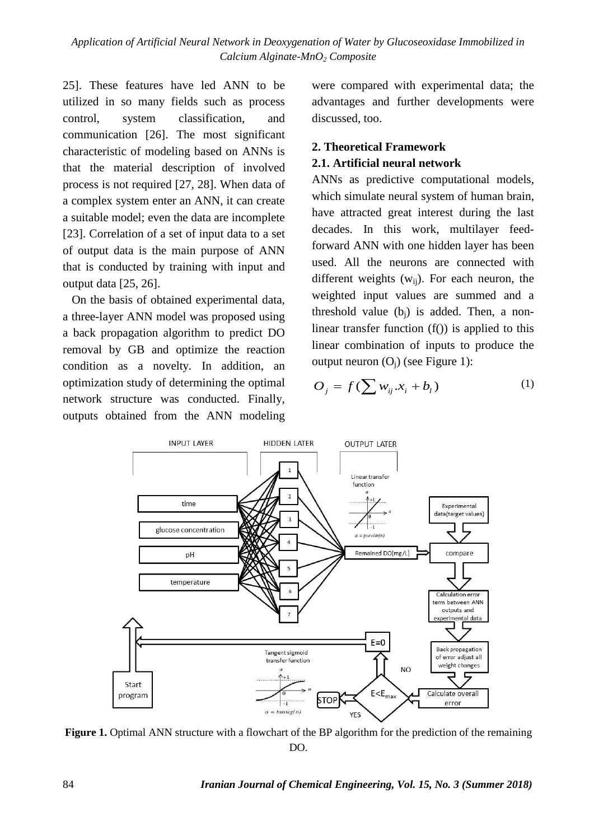25]. These features have led ANN to be utilized in so many fields such as process control, system classification, and communication [26]. The most significant characteristic of modeling based on ANNs is that the material description of involved process is not required [27, 28]. When data of a complex system enter an ANN, it can create a suitable model; even the data are incomplete [23]. Correlation of a set of input data to a set of output data is the main purpose of ANN that is conducted by training with input and output data [25, 26].

 On the basis of obtained experimental data, a three-layer ANN model was proposed using a back propagation algorithm to predict DO removal by GB and optimize the reaction condition as a novelty. In addition, an optimization study of determining the optimal network structure was conducted. Finally, outputs obtained from the ANN modeling were compared with experimental data; the advantages and further developments were discussed, too.

## **2. Theoretical Framework**

## **2.1. Artificial neural network**

ANNs as predictive computational models, which simulate neural system of human brain, have attracted great interest during the last decades. In this work, multilayer feedforward ANN with one hidden layer has been used. All the neurons are connected with different weights  $(w_{ii})$ . For each neuron, the weighted input values are summed and a threshold value  $(b_i)$  is added. Then, a nonlinear transfer function  $(f()$ ) is applied to this linear combination of inputs to produce the output neuron  $(O_i)$  (see [Figure 1\)](#page-2-0):

$$
O_j = f(\sum w_{ij} . x_i + b_l)
$$
 (1)



<span id="page-2-0"></span>**Figure 1.** Optimal ANN structure with a flowchart of the BP algorithm for the prediction of the remaining DO.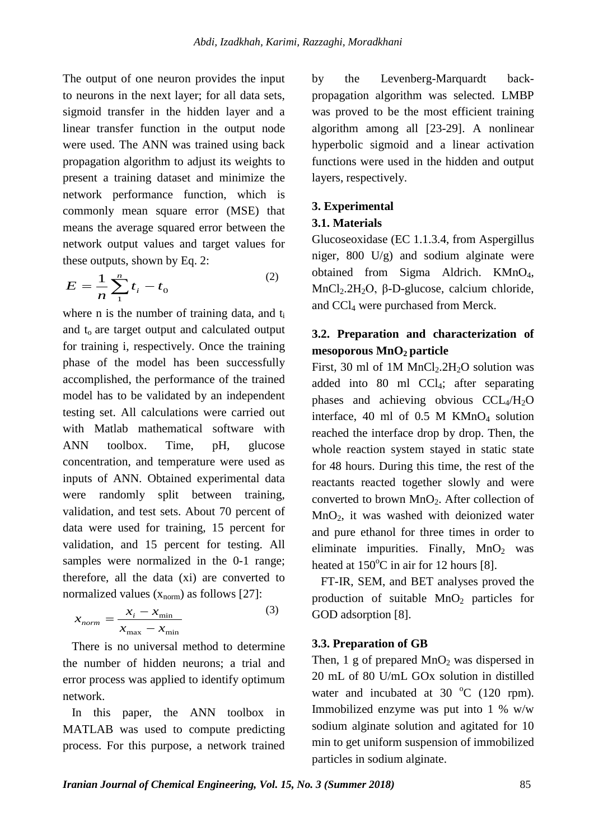The output of one neuron provides the input to neurons in the next layer; for all data sets, sigmoid transfer in the hidden layer and a linear transfer function in the output node were used. The ANN was trained using back propagation algorithm to adjust its weights to present a training dataset and minimize the network performance function, which is commonly mean square error (MSE) that means the average squared error between the network output values and target values for these outputs, shown by Eq. [2:](#page-3-0)

$$
E = \frac{1}{n} \sum_{1}^{n} t_i - t_0
$$
 (2)

where n is the number of training data, and t<sub>i</sub> and  $t_0$  are target output and calculated output for training i, respectively. Once the training phase of the model has been successfully accomplished, the performance of the trained model has to be validated by an independent testing set. All calculations were carried out with Matlab mathematical software with ANN toolbox. Time, pH, glucose concentration, and temperature were used as inputs of ANN. Obtained experimental data were randomly split between training, validation, and test sets. About 70 percent of data were used for training, 15 percent for validation, and 15 percent for testing. All samples were normalized in the 0-1 range; therefore, all the data (xi) are converted to normalized values  $(x_{norm})$  as follows [27]:

$$
x_{norm} = \frac{x_i - x_{min}}{x_{max} - x_{min}}
$$
 (3)

 There is no universal method to determine the number of hidden neurons; a trial and error process was applied to identify optimum network.

 In this paper, the ANN toolbox in MATLAB was used to compute predicting process. For this purpose, a network trained by the Levenberg-Marquardt backpropagation algorithm was selected. LMBP was proved to be the most efficient training algorithm among all [23-29]. A nonlinear hyperbolic sigmoid and a linear activation functions were used in the hidden and output layers, respectively.

## **3. Experimental**

#### **3.1. Materials**

<span id="page-3-0"></span>Glucoseoxidase (EC 1.1.3.4, from Aspergillus niger, 800 U/g) and sodium alginate were obtained from Sigma Aldrich. KMnO4, MnCl<sub>2</sub>.2H<sub>2</sub>O, β-D-glucose, calcium chloride, and CCl4 were purchased from Merck.

## **3.2. Preparation and characterization of mesoporous MnO2 particle**

First, 30 ml of 1M MnCl<sub>2</sub>.2H<sub>2</sub>O solution was added into 80 ml CCl4; after separating phases and achieving obvious  $CCL<sub>4</sub>/H<sub>2</sub>O$ interface, 40 ml of  $0.5$  M KMnO<sub>4</sub> solution reached the interface drop by drop. Then, the whole reaction system stayed in static state for 48 hours. During this time, the rest of the reactants reacted together slowly and were converted to brown MnO2. After collection of  $MnO<sub>2</sub>$ , it was washed with deionized water and pure ethanol for three times in order to eliminate impurities. Finally,  $MnO<sub>2</sub>$  was heated at  $150^{\circ}$ C in air for 12 hours [8].

 FT-IR, SEM, and BET analyses proved the production of suitable  $MnO<sub>2</sub>$  particles for GOD adsorption [8].

#### **3.3. Preparation of GB**

Then, 1 g of prepared  $MnO<sub>2</sub>$  was dispersed in 20 mL of 80 U/mL GOx solution in distilled water and incubated at  $30 °C$  (120 rpm). Immobilized enzyme was put into 1 % w/w sodium alginate solution and agitated for 10 min to get uniform suspension of immobilized particles in sodium alginate.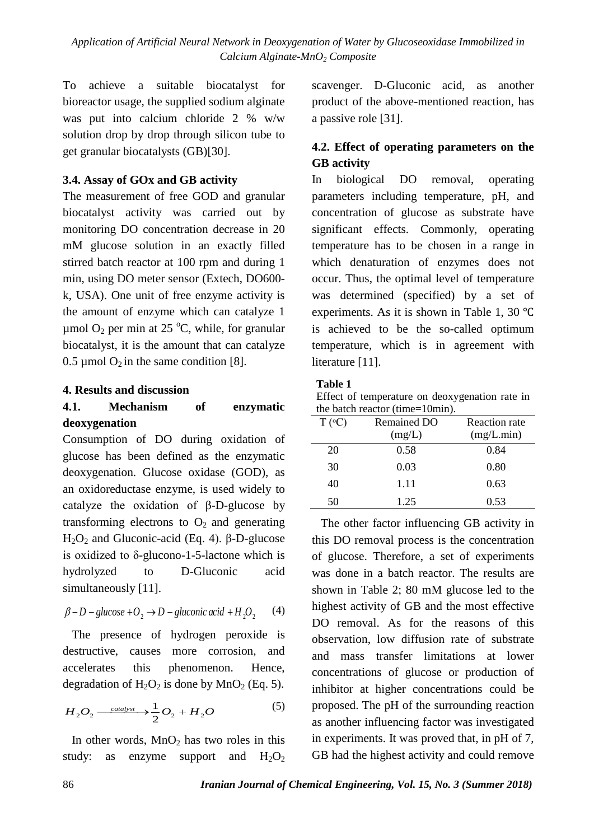*Application of Artificial Neural Network in Deoxygenation of Water by Glucoseoxidase Immobilized in Calcium Alginate-MnO2 Composite*

To achieve a suitable biocatalyst for bioreactor usage, the supplied sodium alginate was put into calcium chloride 2 % w/w solution drop by drop through silicon tube to get granular biocatalysts (GB)[30].

## **3.4. Assay of GOx and GB activity**

The measurement of free GOD and granular biocatalyst activity was carried out by monitoring DO concentration decrease in 20 mM glucose solution in an exactly filled stirred batch reactor at 100 rpm and during 1 min, using DO meter sensor (Extech, DO600 k, USA). One unit of free enzyme activity is the amount of enzyme which can catalyze 1  $\mu$ mol O<sub>2</sub> per min at 25 °C, while, for granular biocatalyst, it is the amount that can catalyze 0.5 µmol  $O_2$  in the same condition [8].

## **4. Results and discussion**

## **4.1. Mechanism of enzymatic deoxygenation**

Consumption of DO during oxidation of glucose has been defined as the enzymatic deoxygenation. Glucose oxidase (GOD), as an oxidoreductase enzyme, is used widely to catalyze the oxidation of β-D-glucose by transforming electrons to  $O_2$  and generating H<sub>2</sub>O<sub>2</sub> and Gluconic-acid (Eq. 4). β-D-glucose is oxidized to δ-glucono-1-5-lactone which is hydrolyzed to D-Gluconic acid simultaneously [11].

$$
\beta - D - glucose + O_2 \rightarrow D - glucose \space acid + H_2O_2 \tag{4}
$$

 The presence of hydrogen peroxide is destructive, causes more corrosion, and accelerates this phenomenon. Hence, degradation of  $H_2O_2$  is done by  $MnO_2$  (Eq. 5).

$$
H_2O_2 \xrightarrow{caatalyst} \frac{1}{2}O_2 + H_2O \tag{5}
$$

In other words,  $MnO<sub>2</sub>$  has two roles in this study: as enzyme support and  $H_2O_2$  scavenger. D-Gluconic acid, as another product of the above-mentioned reaction, has a passive role [31].

## **4.2. Effect of operating parameters on the GB activity**

In biological DO removal, operating parameters including temperature, pH, and concentration of glucose as substrate have significant effects. Commonly, operating temperature has to be chosen in a range in which denaturation of enzymes does not occur. Thus, the optimal level of temperature was determined (specified) by a set of experiments. As it is shown in [Table 1,](#page-4-0) 30 ℃ is achieved to be the so-called optimum temperature, which is in agreement with literature [11].

## <span id="page-4-0"></span>**Table 1**

Effect of temperature on deoxygenation rate in the batch reactor (time=10min).

| $T (^{\circ}C)$ | Remained DO | <b>Reaction</b> rate |
|-----------------|-------------|----------------------|
|                 | (mg/L)      | (mg/L.min)           |
| 20              | 0.58        | 0.84                 |
| 30              | 0.03        | 0.80                 |
| 40              | 1.11        | 0.63                 |
| 50              | 1.25        | 0.53                 |

 The other factor influencing GB activity in this DO removal process is the concentration of glucose. Therefore, a set of experiments was done in a batch reactor. The results are shown in Table 2; 80 mM glucose led to the highest activity of GB and the most effective DO removal. As for the reasons of this observation, low diffusion rate of substrate and mass transfer limitations at lower concentrations of glucose or production of inhibitor at higher concentrations could be proposed. The pH of the surrounding reaction as another influencing factor was investigated in experiments. It was proved that, in pH of 7, GB had the highest activity and could remove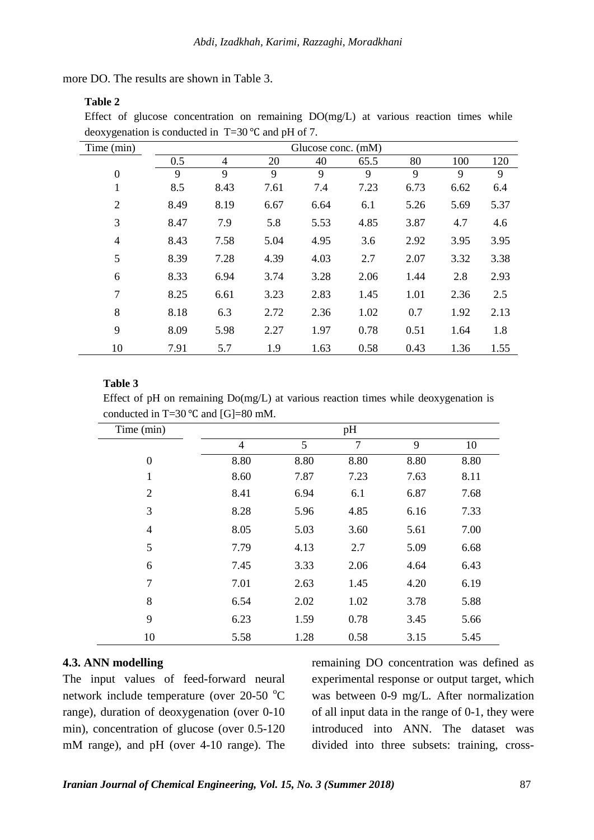more DO. The results are shown in [Table](#page-5-0) 3.

## **Table 2**

Effect of glucose concentration on remaining DO(mg/L) at various reaction times while deoxygenation is conducted in T=30 ℃ and pH of 7.

| Time (min)     |      |      |      | Glucose conc. (mM) |      |      |      |      |
|----------------|------|------|------|--------------------|------|------|------|------|
|                | 0.5  | 4    | 20   | 40                 | 65.5 | 80   | 100  | 120  |
| $\mathbf{0}$   | 9    | 9    | 9    | 9                  | 9    | 9    | 9    | 9    |
| 1              | 8.5  | 8.43 | 7.61 | 7.4                | 7.23 | 6.73 | 6.62 | 6.4  |
| $\overline{2}$ | 8.49 | 8.19 | 6.67 | 6.64               | 6.1  | 5.26 | 5.69 | 5.37 |
| 3              | 8.47 | 7.9  | 5.8  | 5.53               | 4.85 | 3.87 | 4.7  | 4.6  |
| $\overline{4}$ | 8.43 | 7.58 | 5.04 | 4.95               | 3.6  | 2.92 | 3.95 | 3.95 |
| 5              | 8.39 | 7.28 | 4.39 | 4.03               | 2.7  | 2.07 | 3.32 | 3.38 |
| 6              | 8.33 | 6.94 | 3.74 | 3.28               | 2.06 | 1.44 | 2.8  | 2.93 |
| 7              | 8.25 | 6.61 | 3.23 | 2.83               | 1.45 | 1.01 | 2.36 | 2.5  |
| 8              | 8.18 | 6.3  | 2.72 | 2.36               | 1.02 | 0.7  | 1.92 | 2.13 |
| 9              | 8.09 | 5.98 | 2.27 | 1.97               | 0.78 | 0.51 | 1.64 | 1.8  |
| 10             | 7.91 | 5.7  | 1.9  | 1.63               | 0.58 | 0.43 | 1.36 | 1.55 |

#### <span id="page-5-0"></span>**Table 3**

Effect of pH on remaining Do(mg/L) at various reaction times while deoxygenation is conducted in T=30  $°C$  and [G]=80 mM.

| Time (min)       |                |      | pH             |      |      |
|------------------|----------------|------|----------------|------|------|
|                  | $\overline{4}$ | 5    | $\overline{7}$ | 9    | 10   |
| $\boldsymbol{0}$ | 8.80           | 8.80 | 8.80           | 8.80 | 8.80 |
| 1                | 8.60           | 7.87 | 7.23           | 7.63 | 8.11 |
| 2                | 8.41           | 6.94 | 6.1            | 6.87 | 7.68 |
| 3                | 8.28           | 5.96 | 4.85           | 6.16 | 7.33 |
| $\overline{4}$   | 8.05           | 5.03 | 3.60           | 5.61 | 7.00 |
| 5                | 7.79           | 4.13 | 2.7            | 5.09 | 6.68 |
| 6                | 7.45           | 3.33 | 2.06           | 4.64 | 6.43 |
| 7                | 7.01           | 2.63 | 1.45           | 4.20 | 6.19 |
| 8                | 6.54           | 2.02 | 1.02           | 3.78 | 5.88 |
| 9                | 6.23           | 1.59 | 0.78           | 3.45 | 5.66 |
| 10               | 5.58           | 1.28 | 0.58           | 3.15 | 5.45 |

## **4.3. ANN modelling**

The input values of feed-forward neural network include temperature (over  $20-50$  °C range), duration of deoxygenation (over 0-10 min), concentration of glucose (over 0.5-120 mM range), and pH (over 4-10 range). The

remaining DO concentration was defined as experimental response or output target, which was between 0-9 mg/L. After normalization of all input data in the range of 0-1, they were introduced into ANN. The dataset was divided into three subsets: training, cross-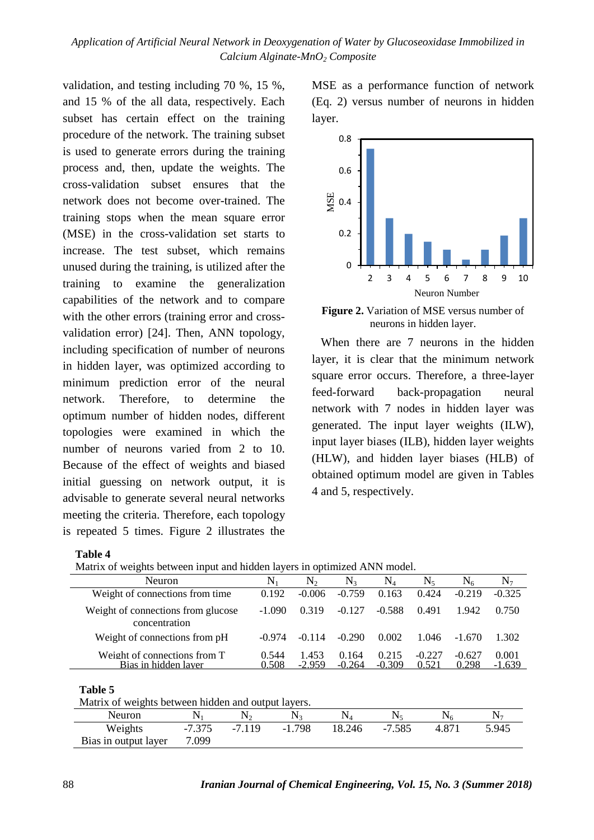validation, and testing including 70 %, 15 %, and 15 % of the all data, respectively. Each subset has certain effect on the training procedure of the network. The training subset is used to generate errors during the training process and, then, update the weights. The cross-validation subset ensures that the network does not become over-trained. The training stops when the mean square error (MSE) in the cross-validation set starts to increase. The test subset, which remains unused during the training, is utilized after the training to examine the generalization capabilities of the network and to compare with the other errors (training error and crossvalidation error) [24]. Then, ANN topology, including specification of number of neurons in hidden layer, was optimized according to minimum prediction error of the neural network. Therefore, to determine the optimum number of hidden nodes, different topologies were examined in which the number of neurons varied from 2 to 10. Because of the effect of weights and biased initial guessing on network output, it is advisable to generate several neural networks meeting the criteria. Therefore, each topology is repeated 5 times. [Figure 2](#page-6-0) illustrates the

MSE as a performance function of network (Eq. [2\)](#page-3-0) versus number of neurons in hidden layer.

<span id="page-6-0"></span>

**Figure 2.** Variation of MSE versus number of neurons in hidden layer.

When there are 7 neurons in the hidden layer, it is clear that the minimum network square error occurs. Therefore, a three-layer feed-forward back-propagation neural network with 7 nodes in hidden layer was generated. The input layer weights (ILW), input layer biases (ILB), hidden layer weights (HLW), and hidden layer biases (HLB) of obtained optimum model are given in Tables 4 and [5,](#page-6-1) respectively.

#### **Table 4**

Matrix of weights between input and hidden layers in optimized ANN model.

| N1             | N <sub>2</sub>    | N2                | N4                | $N_{5}$           | $N_6$             | N <sub>7</sub>    |
|----------------|-------------------|-------------------|-------------------|-------------------|-------------------|-------------------|
| 0.192          | $-0.006$          | $-0.759$          | 0.163             | 0.424             | $-0.219$          | $-0.325$          |
| $-1.090$       | 0.319             | $-0.127$          | $-0.588$          | 0.491             | 1.942             | 0.750             |
| $-0.974$       | $-0.114$          | $-0.290$          | 0.002             | 1.046             | $-1.670$          | 1.302             |
| 0.544<br>0.508 | 1.453<br>$-2.959$ | 0.164<br>$-0.264$ | 0.215<br>$-0.309$ | $-0.227$<br>0.521 | $-0.627$<br>0.298 | 0.001<br>$-1.639$ |
|                |                   |                   |                   |                   |                   |                   |

<span id="page-6-1"></span>**Table 5**

| Matrix of weights between hidden and output layers. |          |         |         |        |          |       |       |
|-----------------------------------------------------|----------|---------|---------|--------|----------|-------|-------|
| Neuron                                              |          |         |         |        |          |       |       |
| Weights                                             | $-7.375$ | $-7119$ | $-1798$ | 18.246 | $-7.585$ | 4 871 | 5 945 |
| Bias in output layer                                | 7.099    |         |         |        |          |       |       |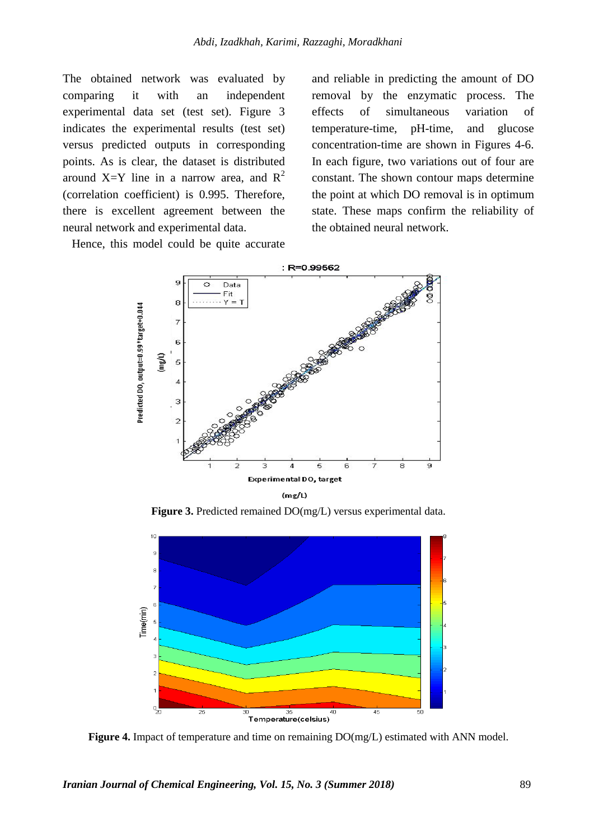The obtained network was evaluated by comparing it with an independent experimental data set (test set). [Figure 3](#page-7-0) indicates the experimental results (test set) versus predicted outputs in corresponding points. As is clear, the dataset is distributed around X=Y line in a narrow area, and  $R^2$ (correlation coefficient) is 0.995. Therefore, there is excellent agreement between the neural network and experimental data.

Hence, this model could be quite accurate

and reliable in predicting the amount of DO removal by the enzymatic process. The effects of simultaneous variation of temperature-time, pH-time, and glucose concentration-time are shown in Figures 4-6. In each figure, two variations out of four are constant. The shown contour maps determine the point at which DO removal is in optimum state. These maps confirm the reliability of the obtained neural network.



**Figure 3.** Predicted remained DO(mg/L) versus experimental data.

<span id="page-7-0"></span>

**Figure 4.** Impact of temperature and time on remaining DO(mg/L) estimated with ANN model.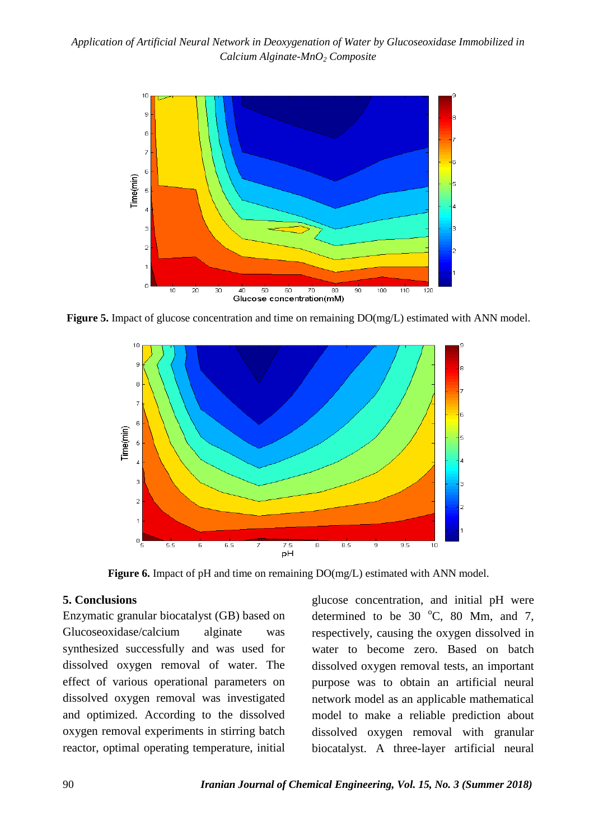

**Figure 5.** Impact of glucose concentration and time on remaining  $DO(mg/L)$  estimated with ANN model.



**Figure 6.** Impact of pH and time on remaining  $DO(mg/L)$  estimated with ANN model.

## **5. Conclusions**

Enzymatic granular biocatalyst (GB) based on Glucoseoxidase/calcium alginate was synthesized successfully and was used for dissolved oxygen removal of water. The effect of various operational parameters on dissolved oxygen removal was investigated and optimized. According to the dissolved oxygen removal experiments in stirring batch reactor, optimal operating temperature, initial glucose concentration, and initial pH were determined to be 30  $^{\circ}$ C, 80 Mm, and 7, respectively, causing the oxygen dissolved in water to become zero. Based on batch dissolved oxygen removal tests, an important purpose was to obtain an artificial neural network model as an applicable mathematical model to make a reliable prediction about dissolved oxygen removal with granular biocatalyst. A three-layer artificial neural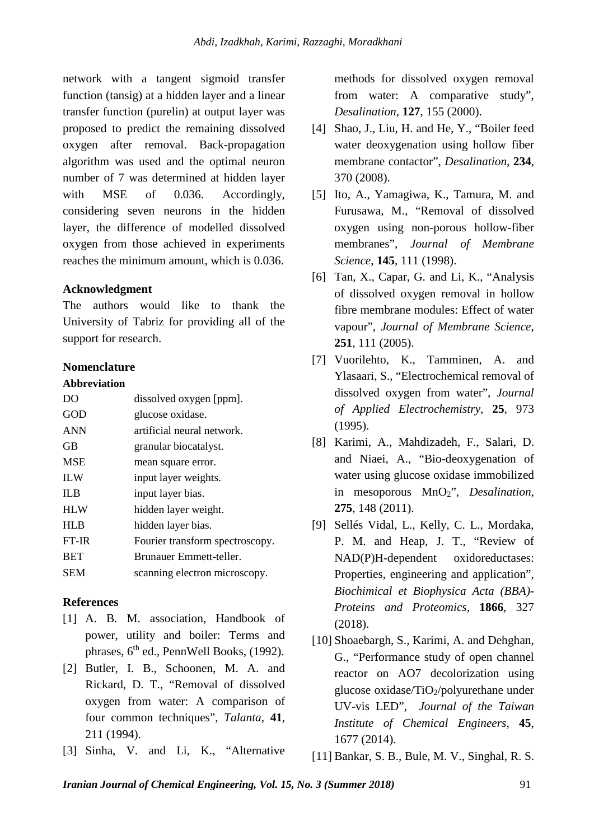network with a tangent sigmoid transfer function (tansig) at a hidden layer and a linear transfer function (purelin) at output layer was proposed to predict the remaining dissolved oxygen after removal. Back-propagation algorithm was used and the optimal neuron number of 7 was determined at hidden layer with MSE of 0.036. Accordingly, considering seven neurons in the hidden layer, the difference of modelled dissolved oxygen from those achieved in experiments reaches the minimum amount, which is 0.036.

## **Acknowledgment**

The authors would like to thank the University of Tabriz for providing all of the support for research.

#### **Nomenclature**

#### **Abbreviation**

| DO         | dissolved oxygen [ppm].         |
|------------|---------------------------------|
| GOD        | glucose oxidase.                |
| <b>ANN</b> | artificial neural network.      |
| <b>GB</b>  | granular biocatalyst.           |
| <b>MSE</b> | mean square error.              |
| <b>ILW</b> | input layer weights.            |
| <b>ILB</b> | input layer bias.               |
| <b>HLW</b> | hidden layer weight.            |
| <b>HLB</b> | hidden layer bias.              |
| FT-IR      | Fourier transform spectroscopy. |
| <b>BET</b> | Brunauer Emmett-teller.         |
| <b>SEM</b> | scanning electron microscopy.   |
|            |                                 |

## **References**

- [1] A. B. M. association, Handbook of power, utility and boiler: Terms and phrases,  $6<sup>th</sup>$  ed., PennWell Books, (1992).
- [2] Butler, I. B., Schoonen, M. A. and Rickard, D. T., "Removal of dissolved oxygen from water: A comparison of four common techniques", *Talanta,* **41**, 211 (1994).
- [3] Sinha, V. and Li, K., "Alternative

methods for dissolved oxygen removal from water: A comparative study", *Desalination*, **127**, 155 (2000).

- [4] Shao, J., Liu, H. and He, Y., "Boiler feed water deoxygenation using hollow fiber membrane contactor", *Desalination*, **234**, 370 (2008).
- [5] Ito, A., Yamagiwa, K., Tamura, M. and Furusawa, M., "Removal of dissolved oxygen using non-porous hollow-fiber membranes", *Journal of Membrane Science*, **145**, 111 (1998).
- [6] Tan, X., Capar, G. and Li, K., "Analysis of dissolved oxygen removal in hollow fibre membrane modules: Effect of water vapour", *Journal of Membrane Science*, **251**, 111 (2005).
- [7] Vuorilehto, K., Tamminen, A. and Ylasaari, S., "Electrochemical removal of dissolved oxygen from water", *Journal of Applied Electrochemistry*, **25**, 973 (1995).
- [8] Karimi, A., Mahdizadeh, F., Salari, D. and Niaei, A., "Bio-deoxygenation of water using glucose oxidase immobilized in mesoporous MnO2", *Desalination*, **275**, 148 (2011).
- [9] Sellés Vidal, L., Kelly, C. L., Mordaka, P. M. and Heap, J. T., "Review of NAD(P)H-dependent oxidoreductases: Properties, engineering and application", *Biochimical et Biophysica Acta (BBA)- Proteins and Proteomics*, **1866**, 327 (2018).
- [10] Shoaebargh, S., Karimi, A. and Dehghan, G., "Performance study of open channel reactor on AO7 decolorization using glucose oxidase/ $TiO<sub>2</sub>/polyure thane$  under UV-vis LED", *Journal of the Taiwan Institute of Chemical Engineers*, **45**, 1677 (2014).
- [11] Bankar, S. B., Bule, M. V., Singhal, R. S.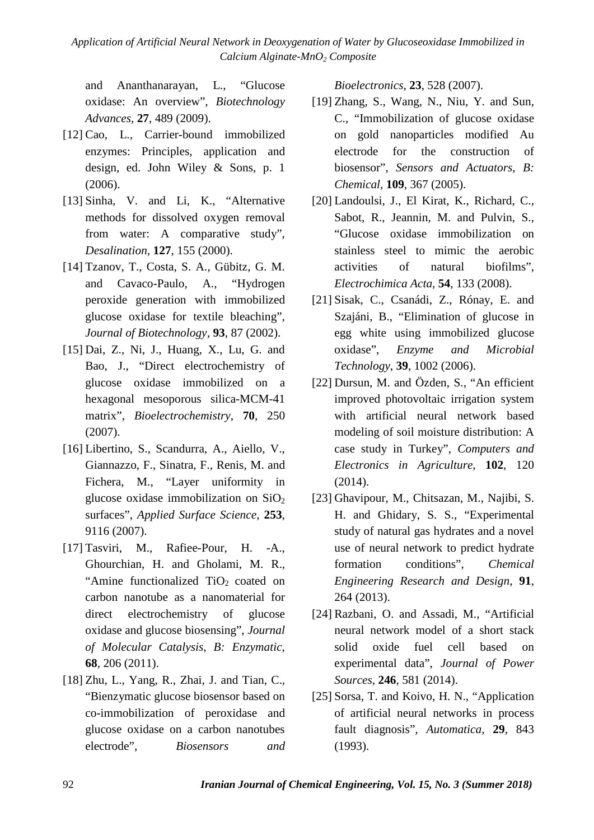*Application of Artificial Neural Network in Deoxygenation of Water by Glucoseoxidase Immobilized in Calcium Alginate-MnO2 Composite*

and Ananthanarayan, L., "Glucose oxidase: An overview", *Biotechnology Advances*, **27**, 489 (2009).

- [12] Cao, L., Carrier-bound immobilized enzymes: Principles, application and design, ed. John Wiley & Sons, p. 1 (2006).
- [13] Sinha, V. and Li, K., "Alternative methods for dissolved oxygen removal from water: A comparative study", *Desalination*, **127**, 155 (2000).
- [14] Tzanov, T., Costa, S. A., Gübitz, G. M. and Cavaco-Paulo, A., "Hydrogen peroxide generation with immobilized glucose oxidase for textile bleaching", *Journal of Biotechnology*, **93**, 87 (2002).
- [15] Dai, Z., Ni, J., Huang, X., Lu, G. and Bao, J., "Direct electrochemistry of glucose oxidase immobilized on a hexagonal mesoporous silica-MCM-41 matrix", *Bioelectrochemistry*, **70**, 250 (2007).
- [16] Libertino, S., Scandurra, A., Aiello, V., Giannazzo, F., Sinatra, F., Renis, M. and Fichera, M., "Layer uniformity in glucose oxidase immobilization on  $SiO<sub>2</sub>$ surfaces", *Applied Surface Science*, **253**, 9116 (2007).
- [17] Tasviri, M., Rafiee-Pour, H. -A., Ghourchian, H. and Gholami, M. R., "Amine functionalized  $TiO<sub>2</sub>$  coated on carbon nanotube as a nanomaterial for direct electrochemistry of glucose oxidase and glucose biosensing", *Journal of Molecular Catalysis, B: Enzymatic*, **68**, 206 (2011).
- [18] Zhu, L., Yang, R., Zhai, J. and Tian, C., "Bienzymatic glucose biosensor based on co-immobilization of peroxidase and glucose oxidase on a carbon nanotubes electrode", *Biosensors and*

*Bioelectronics*, **23**, 528 (2007).

- [19] Zhang, S., Wang, N., Niu, Y. and Sun, C., "Immobilization of glucose oxidase on gold nanoparticles modified Au electrode for the construction of biosensor", *Sensors and Actuators, B: Chemical*, **109**, 367 (2005).
- [20] Landoulsi, J., El Kirat, K., Richard, C., Sabot, R., Jeannin, M. and Pulvin, S., "Glucose oxidase immobilization on stainless steel to mimic the aerobic activities of natural biofilms", *Electrochimica Acta*, **54**, 133 (2008).
- [21] Sisak, C., Csanádi, Z., Rónay, E. and Szajáni, B., "Elimination of glucose in egg white using immobilized glucose oxidase", *Enzyme and Microbial Technology*, **39**, 1002 (2006).
- [22] Dursun, M. and Özden, S., "An efficient improved photovoltaic irrigation system with artificial neural network based modeling of soil moisture distribution: A case study in Turkey", *Computers and Electronics in Agriculture*, **102**, 120 (2014).
- [23] Ghavipour, M., Chitsazan, M., Najibi, S. H. and Ghidary, S. S., "Experimental study of natural gas hydrates and a novel use of neural network to predict hydrate formation conditions", *Chemical Engineering Research and Design*, **91**, 264 (2013).
- [24] Razbani, O. and Assadi, M., "Artificial neural network model of a short stack solid oxide fuel cell based on experimental data", *Journal of Power Sources*, **246**, 581 (2014).
- [25] Sorsa, T. and Koivo, H. N., "Application of artificial neural networks in process fault diagnosis", *Automatica*, **29**, 843 (1993).